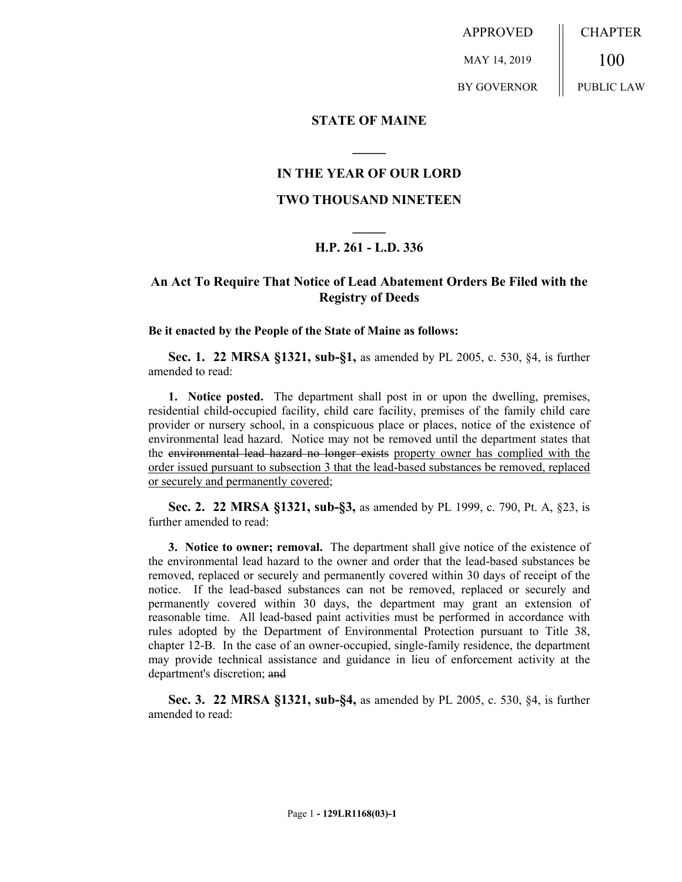APPROVED MAY 14, 2019 BY GOVERNOR CHAPTER 100 PUBLIC LAW

## **STATE OF MAINE**

# **IN THE YEAR OF OUR LORD**

**\_\_\_\_\_**

#### **TWO THOUSAND NINETEEN**

# **\_\_\_\_\_ H.P. 261 - L.D. 336**

# **An Act To Require That Notice of Lead Abatement Orders Be Filed with the Registry of Deeds**

**Be it enacted by the People of the State of Maine as follows:**

**Sec. 1. 22 MRSA §1321, sub-§1,** as amended by PL 2005, c. 530, §4, is further amended to read:

**1. Notice posted.** The department shall post in or upon the dwelling, premises, residential child-occupied facility, child care facility, premises of the family child care provider or nursery school, in a conspicuous place or places, notice of the existence of environmental lead hazard. Notice may not be removed until the department states that the environmental lead hazard no longer exists property owner has complied with the order issued pursuant to subsection 3 that the lead-based substances be removed, replaced or securely and permanently covered;

**Sec. 2. 22 MRSA §1321, sub-§3,** as amended by PL 1999, c. 790, Pt. A, §23, is further amended to read:

**3. Notice to owner; removal.** The department shall give notice of the existence of the environmental lead hazard to the owner and order that the lead-based substances be removed, replaced or securely and permanently covered within 30 days of receipt of the notice. If the lead-based substances can not be removed, replaced or securely and permanently covered within 30 days, the department may grant an extension of reasonable time. All lead-based paint activities must be performed in accordance with rules adopted by the Department of Environmental Protection pursuant to Title 38, chapter 12-B. In the case of an owner-occupied, single-family residence, the department may provide technical assistance and guidance in lieu of enforcement activity at the department's discretion; and

**Sec. 3. 22 MRSA §1321, sub-§4,** as amended by PL 2005, c. 530, §4, is further amended to read: